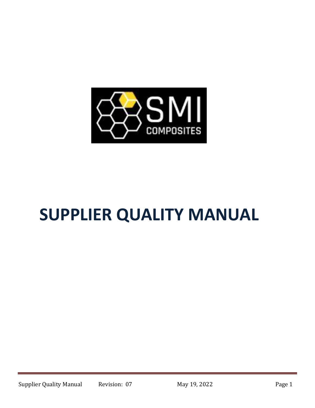

# **SUPPLIER QUALITY MANUAL**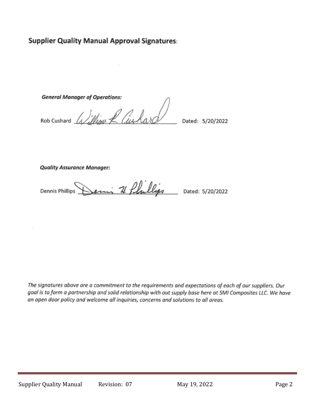### **Supplier Quality Manual Approval Signatures:**

**General Manager of Operations:** 

ROD Cushard *William R Cushard* 

Dated: 5/20/2022

**Quality Assurance Manager:** 

emi 71 flullips **Dennis Phillips** Dated: 5/20/2022

The signatures above are a commitment to the requirements and expectations of each of our suppliers. Our goal is to form a partnership and solid relationship with out supply base here at SMI Composites LLC. We have an open door policy and welcome all inquiries, concerns and solutions to all areas.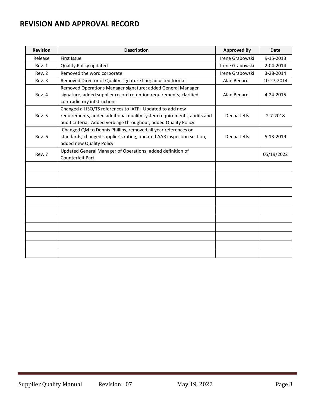## **REVISION AND APPROVAL RECORD**

| <b>Revision</b> | <b>Description</b>                                                                                                                                                                                      | <b>Approved By</b> | <b>Date</b>    |
|-----------------|---------------------------------------------------------------------------------------------------------------------------------------------------------------------------------------------------------|--------------------|----------------|
| Release         | First Issue                                                                                                                                                                                             | Irene Grabowski    | 9-15-2013      |
| Rev. 1          | <b>Quality Policy updated</b>                                                                                                                                                                           | Irene Grabowski    | 2-04-2014      |
| Rev. 2          | Removed the word corporate                                                                                                                                                                              | Irene Grabowski    | 3-28-2014      |
| Rev. 3          | Removed Director of Quality signature line; adjusted format                                                                                                                                             | Alan Benard        | 10-27-2014     |
| Rev. 4          | Removed Operations Manager signature; added General Manager<br>signature; added supplier record retention requirements; clarified<br>contradictory intstructions                                        | Alan Benard        | 4-24-2015      |
| Rev. 5          | Changed all ISO/TS references to IATF; Updated to add new<br>requirements, added additional quality system requirements, audits and<br>audit criteria; Added verbiage throughout; added Quality Policy. | Deena Jeffs        | $2 - 7 - 2018$ |
| Rev. 6          | Changed QM to Dennis Phillips, removed all year references on<br>standards, changed supplier's rating, updated AAR inspection section,<br>added new Quality Policy                                      | Deena Jeffs        | 5-13-2019      |
| Rev. 7          | Updated General Manager of Operations; added definition of<br>Counterfeit Part;                                                                                                                         |                    | 05/19/2022     |
|                 |                                                                                                                                                                                                         |                    |                |
|                 |                                                                                                                                                                                                         |                    |                |
|                 |                                                                                                                                                                                                         |                    |                |
|                 |                                                                                                                                                                                                         |                    |                |
|                 |                                                                                                                                                                                                         |                    |                |
|                 |                                                                                                                                                                                                         |                    |                |
|                 |                                                                                                                                                                                                         |                    |                |
|                 |                                                                                                                                                                                                         |                    |                |
|                 |                                                                                                                                                                                                         |                    |                |
|                 |                                                                                                                                                                                                         |                    |                |
|                 |                                                                                                                                                                                                         |                    |                |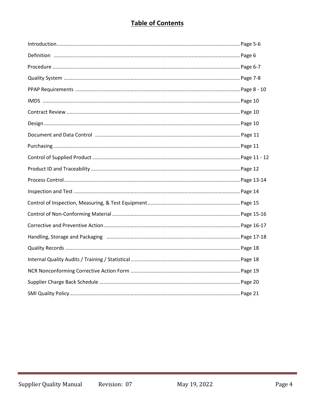# **Table of Contents**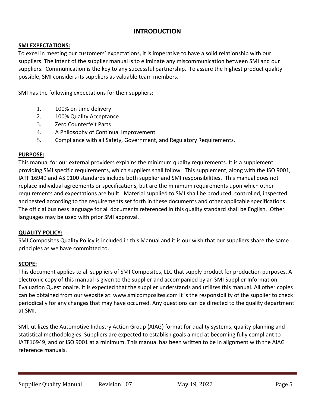#### **INTRODUCTION**

#### **SMI EXPECTATIONS:**

To excel in meeting our customers' expectations, it is imperative to have a solid relationship with our suppliers. The intent of the supplier manual is to eliminate any miscommunication between SMI and our suppliers. Communication is the key to any successful partnership. To assure the highest product quality possible, SMI considers its suppliers as valuable team members.

SMI has the following expectations for their suppliers:

- 1. 100% on time delivery
- 2. 100% Quality Acceptance
- 3. Zero Counterfeit Parts
- 4. A Philosophy of Continual Improvement
- 5. Compliance with all Safety, Government, and Regulatory Requirements.

#### **PURPOSE:**

This manual for our external providers explains the minimum quality requirements. It is a supplement providing SMI specific requirements, which suppliers shall follow. This supplement, along with the ISO 9001, IATF 16949 and AS 9100 standards include both supplier and SMI responsibilities. This manual does not replace individual agreements or specifications, but are the minimum requirements upon which other requirements and expectations are built. Material supplied to SMI shall be produced, controlled, inspected and tested according to the requirements set forth in these documents and other applicable specifications. The official business language for all documents referenced in this quality standard shall be English. Other languages may be used with prior SMI approval.

#### **QUALITY POLICY:**

SMI Composites Quality Policy is included in this Manual and it is our wish that our suppliers share the same principles as we have committed to.

#### **SCOPE:**

This document applies to all suppliers of SMI Composites, LLC that supply product for production purposes. A electronic copy of this manual is given to the supplier and accompanied by an SMI Supplier Information Evaluation Questionaire. It is expected that the supplier understands and utilizes this manual. All other copies can be obtained from our website at: www.smicomposites.com It is the responsibility of the supplier to check periodically for any changes that may have occurred. Any questions can be directed to the quality department at SMI.

SMI, utilizes the Automotive Industry Action Group (AIAG) format for quality systems, quality planning and statistical methodologies. Suppliers are expected to establish goals aimed at becoming fully compliant to IATF16949, and or ISO 9001 at a minimum. This manual has been written to be in alignment with the AIAG reference manuals.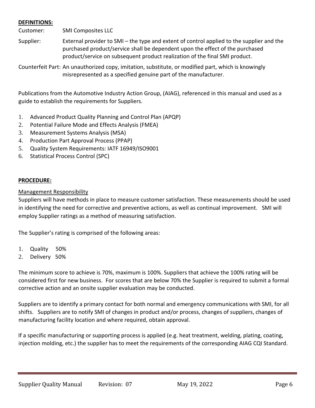#### **DEFINITIONS:**

Customer: SMI Composites LLC

Supplier: External provider to SMI – the type and extent of control applied to the supplier and the purchased product/service shall be dependent upon the effect of the purchased product/service on subsequent product realization of the final SMI product.

Counterfeit Part: An unauthorized copy, imitation, substitute, or modified part, which is knowingly misrepresented as a specified genuine part of the manufacturer.

Publications from the Automotive Industry Action Group, (AIAG), referenced in this manual and used as a guide to establish the requirements for Suppliers.

- 1. Advanced Product Quality Planning and Control Plan (APQP)
- 2. Potential Failure Mode and Effects Analysis (FMEA)
- 3. Measurement Systems Analysis (MSA)
- 4. Production Part Approval Process (PPAP)
- 5. Quality System Requirements: IATF 16949/ISO9001
- 6. Statistical Process Control (SPC)

#### **PROCEDURE:**

#### Management Responsibility

Suppliers will have methods in place to measure customer satisfaction. These measurements should be used in identifying the need for corrective and preventive actions, as well as continual improvement. SMI will employ Supplier ratings as a method of measuring satisfaction.

The Supplier's rating is comprised of the following areas:

- 1. Quality 50%
- 2. Delivery 50%

The minimum score to achieve is 70%, maximum is 100%. Suppliers that achieve the 100% rating will be considered first for new business. For scores that are below 70% the Supplier is required to submit a formal corrective action and an onsite supplier evaluation may be conducted.

Suppliers are to identify a primary contact for both normal and emergency communications with SMI, for all shifts. Suppliers are to notify SMI of changes in product and/or process, changes of suppliers, changes of manufacturing facility location and where required, obtain approval.

If a specific manufacturing or supporting process is applied (e.g. heat treatment, welding, plating, coating, injection molding, etc.) the supplier has to meet the requirements of the corresponding AIAG CQI Standard.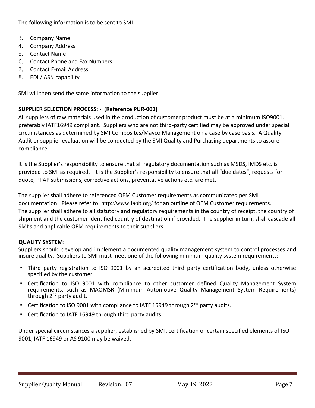The following information is to be sent to SMI.

- 3. Company Name
- 4. Company Address
- 5. Contact Name
- 6. Contact Phone and Fax Numbers
- 7. Contact E-mail Address
- 8. EDI / ASN capability

SMI will then send the same information to the supplier.

#### **SUPPLIER SELECTION PROCESS: - (Reference PUR-001)**

All suppliers of raw materials used in the production of customer product must be at a minimum ISO9001, preferably IATF16949 compliant. Suppliers who are not third-party certified may be approved under special circumstances as determined by SMI Composites/Mayco Management on a case by case basis. A Quality Audit or supplier evaluation will be conducted by the SMI Quality and Purchasing departments to assure compliance.

It is the Supplier's responsibility to ensure that all regulatory documentation such as MSDS, IMDS etc. is provided to SMI as required. It is the Supplier's responsibility to ensure that all "due dates", requests for quote, PPAP submissions, corrective actions, preventative actions etc. are met.

The supplier shall adhere to referenced OEM Customer requirements as communicated per SMI documentation. Please refer to: <http://www.iaob.org/> for an outline of OEM Customer requirements. The supplier shall adhere to all statutory and regulatory requirements in the country of receipt, the country of shipment and the customer identified country of destination if provided. The supplier in turn, shall cascade all SMI's and applicable OEM requirements to their suppliers.

#### **QUALITY SYSTEM:**

Suppliers should develop and implement a documented quality management system to control processes and insure quality. Suppliers to SMI must meet one of the following minimum quality system requirements:

- Third party registration to ISO 9001 by an accredited third party certification body, unless otherwise specified by the customer
- Certification to ISO 9001 with compliance to other customer defined Quality Management System requirements, such as MAQMSR (Minimum Automotive Quality Management System Requirements) through  $2^{nd}$  party audit.
- Certification to ISO 9001 with compliance to IATF 16949 through  $2<sup>nd</sup>$  party audits.
- Certification to IATF 16949 through third party audits.

Under special circumstances a supplier, established by SMI, certification or certain specified elements of ISO 9001, IATF 16949 or AS 9100 may be waived.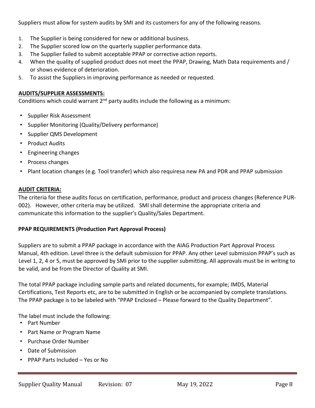Suppliers must allow for system audits by SMI and its customers for any of the following reasons.

- 1. The Supplier is being considered for new or additional business.
- 2. The Supplier scored low on the quarterly supplier performance data.
- 3. The Supplier failed to submit acceptable PPAP or corrective action reports.
- 4. When the quality of supplied product does not meet the PPAP, Drawing, Math Data requirements and / or shows evidence of deterioration.
- 5. To assist the Suppliers in improving performance as needed or requested.

#### **AUDITS/SUPPLIER ASSESSMENTS:**

Conditions which could warrant  $2^{nd}$  party audits include the following as a minimum:

- Supplier Risk Assessment
- **Supplier Monitoring (Quality/Delivery performance)**
- Supplier QMS Development
- Product Audits
- Engineering changes
- Process changes
- Plant location changes (e.g. Tool transfer) which also requiresa new PA and PDR and PPAP submission

#### **AUDIT CRITERIA:**

The criteria for these audits focus on certification, performance, product and process changes (Reference PUR-002). However, other criteria may be utilized. SMI shall determine the appropriate criteria and communicate this information to the supplier's Quality/Sales Department.

#### **PPAP REQUIREMENTS (Production Part Approval Process)**

Suppliers are to submit a PPAP package in accordance with the AIAG Production Part Approval Process Manual, 4th edition. Level three is the default submission for PPAP. Any other Level submission PPAP's such as Level 1, 2, 4 or 5, must be approved by SMI prior to the supplier submitting. All approvals must be in writing to be valid, and be from the Director of Quality at SMI.

The total PPAP package including sample parts and related documents, for example; IMDS, Material Certifications, Test Reports etc, are to be submitted in English or be accompanied by complete translations. The PPAP package is to be labeled with "PPAP Enclosed – Please forward to the Quality Department".

The label must include the following:

- Part Number
- Part Name or Program Name
- Purchase Order Number
- Date of Submission
- PPAP Parts Included Yes or No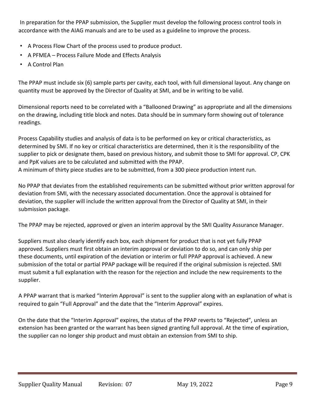In preparation for the PPAP submission, the Supplier must develop the following process control tools in accordance with the AIAG manuals and are to be used as a guideline to improve the process.

- A Process Flow Chart of the process used to produce product.
- A PFMEA Process Failure Mode and Effects Analysis
- A Control Plan

The PPAP must include six (6) sample parts per cavity, each tool, with full dimensional layout. Any change on quantity must be approved by the Director of Quality at SMI, and be in writing to be valid.

Dimensional reports need to be correlated with a "Ballooned Drawing" as appropriate and all the dimensions on the drawing, including title block and notes. Data should be in summary form showing out of tolerance readings.

Process Capability studies and analysis of data is to be performed on key or critical characteristics, as determined by SMI. If no key or critical characteristics are determined, then it is the responsibility of the supplier to pick or designate them, based on previous history, and submit those to SMI for approval. CP, CPK and PpK values are to be calculated and submitted with the PPAP. A minimum of thirty piece studies are to be submitted, from a 300 piece production intent run.

No PPAP that deviates from the established requirements can be submitted without prior written approval for deviation from SMI, with the necessary associated documentation. Once the approval is obtained for deviation, the supplier will include the written approval from the Director of Quality at SMI, in their submission package.

The PPAP may be rejected, approved or given an interim approval by the SMI Quality Assurance Manager.

Suppliers must also clearly identify each box, each shipment for product that is not yet fully PPAP approved. Suppliers must first obtain an interim approval or deviation to do so, and can only ship per these documents, until expiration of the deviation or interim or full PPAP approval is achieved. A new submission of the total or partial PPAP package will be required if the original submission is rejected. SMI must submit a full explanation with the reason for the rejection and include the new requirements to the supplier.

A PPAP warrant that is marked "Interim Approval" is sent to the supplier along with an explanation of what is required to gain "Full Approval" and the date that the "Interim Approval" expires.

On the date that the "Interim Approval" expires, the status of the PPAP reverts to "Rejected", unless an extension has been granted or the warrant has been signed granting full approval. At the time of expiration, the supplier can no longer ship product and must obtain an extension from SMI to ship.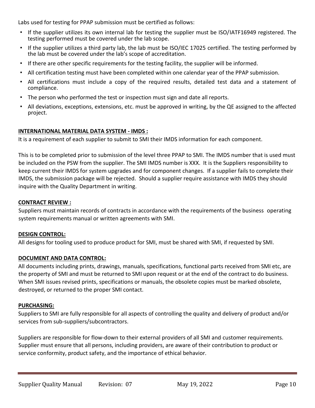Labs used for testing for PPAP submission must be certified as follows:

- If the supplier utilizes its own internal lab for testing the supplier must be ISO/IATF16949 registered. The testing performed must be covered under the lab scope.
- If the supplier utilizes a third party lab, the lab must be ISO/IEC 17025 certified. The testing performed by the lab must be covered under the lab's scope of accreditation.
- If there are other specific requirements for the testing facility, the supplier will be informed.
- All certification testing must have been completed within one calendar year of the PPAP submission.
- All certifications must include a copy of the required results, detailed test data and a statement of compliance.
- The person who performed the test or inspection must sign and date all reports.
- All deviations, exceptions, extensions, etc. must be approved in writing, by the QE assigned to the affected project.

#### **INTERNATIONAL MATERIAL DATA SYSTEM - IMDS :**

It is a requirement of each supplier to submit to SMI their IMDS information for each component.

This is to be completed prior to submission of the level three PPAP to SMI. The IMDS number that is used must be included on the PSW from the supplier. The SMI IMDS number is XXX. It is the Suppliers responsibility to keep current their IMDS for system upgrades and for component changes. If a supplier fails to complete their IMDS, the submission package will be rejected. Should a supplier require assistance with IMDS they should inquire with the Quality Department in writing.

#### **CONTRACT REVIEW :**

Suppliers must maintain records of contracts in accordance with the requirements of the business operating system requirements manual or written agreements with SMI.

#### **DESIGN CONTROL:**

All designs for tooling used to produce product for SMI, must be shared with SMI, if requested by SMI.

#### **DOCUMENT AND DATA CONTROL:**

All documents including prints, drawings, manuals, specifications, functional parts received from SMI etc, are the property of SMI and must be returned to SMI upon request or at the end of the contract to do business. When SMI issues revised prints, specifications or manuals, the obsolete copies must be marked obsolete, destroyed, or returned to the proper SMI contact.

#### **PURCHASING:**

Suppliers to SMI are fully responsible for all aspects of controlling the quality and delivery of product and/or services from sub-suppliers/subcontractors.

Suppliers are responsible for flow-down to their external providers of all SMI and customer requirements. Supplier must ensure that all persons, including providers, are aware of their contribution to product or service conformity, product safety, and the importance of ethical behavior.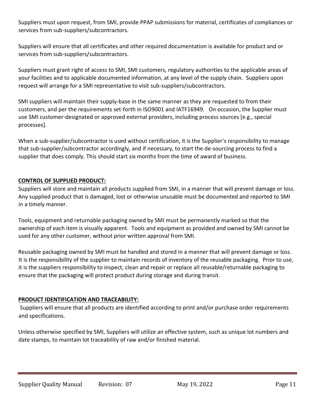Suppliers must upon request, from SMI, provide PPAP submissions for material, certificates of compliances or services from sub-suppliers/subcontractors.

Suppliers will ensure that all certificates and other required documentation is available for product and or services from sub-suppliers/subcontractors.

Suppliers must grant right of access to SMI, SMI customers, regulatory authorities to the applicable areas of your facilities and to applicable documented information, at any level of the supply chain. Suppliers upon request will arrange for a SMI representative to visit sub-suppliers/subcontractors.

SMI suppliers will maintain their supply-base in the same manner as they are requested to from their customers, and per the requirements set-forth in ISO9001 and IATF16949. On occasion, the Supplier must use SMI customer-designated or approved external providers, including process sources [e.g., special processes].

When a sub-supplier/subcontractor is used without certification, it is the Supplier's responsibility to manage that sub-supplier/subcontractor accordingly, and if necessary, to start the de-sourcing process to find a supplier that does comply. This should start six months from the time of award of business.

#### **CONTROL OF SUPPLIED PRODUCT:**

Suppliers will store and maintain all products supplied from SMI, in a manner that will prevent damage or loss. Any supplied product that is damaged, lost or otherwise unusable must be documented and reported to SMI in a timely manner.

Tools, equipment and returnable packaging owned by SMI must be permanently marked so that the ownership of each item is visually apparent. Tools and equipment as provided and owned by SMI cannot be used for any other customer, without prior written approval from SMI.

Reusable packaging owned by SMI must be handled and stored in a manner that will prevent damage or loss. It is the responsibility of the supplier to maintain records of inventory of the reusable packaging. Prior to use, it is the suppliers responsibility to inspect, clean and repair or replace all reusable/returnable packaging to ensure that the packaging will protect product during storage and during transit.

#### **PRODUCT IDENTIFICATION AND TRACEABILITY:**

Suppliers will ensure that all products are identified according to print and/or purchase order requirements and specifications.

Unless otherwise specified by SMI, Suppliers will utilize an effective system, such as unique lot numbers and date stamps, to maintain lot traceability of raw and/or finished material.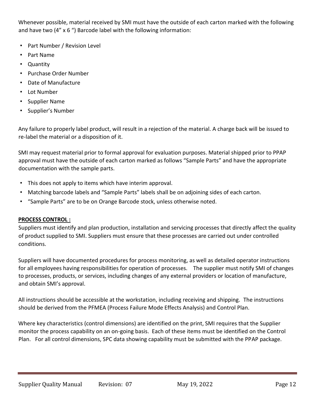Whenever possible, material received by SMI must have the outside of each carton marked with the following and have two (4" x 6 ") Barcode label with the following information:

- Part Number / Revision Level
- Part Name
- Quantity
- Purchase Order Number
- Date of Manufacture
- Lot Number
- Supplier Name
- Supplier's Number

Any failure to properly label product, will result in a rejection of the material. A charge back will be issued to re-label the material or a disposition of it.

SMI may request material prior to formal approval for evaluation purposes. Material shipped prior to PPAP approval must have the outside of each carton marked as follows "Sample Parts" and have the appropriate documentation with the sample parts.

- This does not apply to items which have interim approval.
- Matching barcode labels and "Sample Parts" labels shall be on adjoining sides of each carton.
- "Sample Parts" are to be on Orange Barcode stock, unless otherwise noted.

#### **PROCESS CONTROL :**

Suppliers must identify and plan production, installation and servicing processes that directly affect the quality of product supplied to SMI. Suppliers must ensure that these processes are carried out under controlled conditions.

Suppliers will have documented procedures for process monitoring, as well as detailed operator instructions for all employees having responsibilities for operation of processes. The supplier must notify SMI of changes to processes, products, or services, including changes of any external providers or location of manufacture, and obtain SMI's approval.

All instructions should be accessible at the workstation, including receiving and shipping. The instructions should be derived from the PFMEA (Process Failure Mode Effects Analysis) and Control Plan.

Where key characteristics (control dimensions) are identified on the print, SMI requires that the Supplier monitor the process capability on an on-going basis. Each of these items must be identified on the Control Plan. For all control dimensions, SPC data showing capability must be submitted with the PPAP package.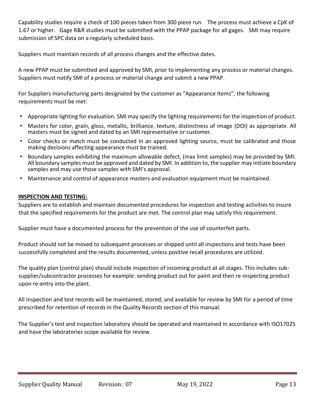Capability studies require a check of 100 pieces taken from 300 piece run. The process must achieve a CpK of 1.67 or higher. Gage R&R studies must be submitted with the PPAP package for all gages. SMI may require submission of SPC data on a regularly scheduled basis.

Suppliers must maintain records of all process changes and the effective dates.

A new PPAP must be submitted and approved by SMI, prior to implementing any process or material changes. Suppliers must notify SMI of a process or material change and submit a new PPAP.

For Suppliers manufacturing parts designated by the customer as "Appearance Items", the following requirements must be met:

- Appropriate lighting for evaluation. SMI may specify the lighting requirements for the inspection of product.
- Masters for color, grain, gloss, metallic, brilliance, texture, distinctness of image (DOI) as appropriate. All masters must be signed and dated by an SMI representative or customer.
- Color checks or match must be conducted in an approved lighting source, must be calibrated and those making decisions affecting appearance must be trained.
- Boundary samples exhibiting the maximum allowable defect, (max limit samples) may be provided by SMI. All boundary samples must be approved and dated by SMI. In addition to, the supplier may initiate boundary samples and may use those samples with SMI's approval.
- Maintenance and control of appearance masters and evaluation equipment must be maintained.

#### **INSPECTION AND TESTING:**

Suppliers are to establish and maintain documented procedures for inspection and testing activities to insure that the specified requirements for the product are met. The control plan may satisfy this requirement.

Supplier must have a documented process for the prevention of the use of counterfeit parts.

Product should not be moved to subsequent processes or shipped until all inspections and tests have been successfully completed and the results documented, unless positive recall procedures are utilized.

The quality plan (control plan) should include inspection of incoming product at all stages. This includes subsupplier/subcontractor processes for example: sending product out for paint and then re-inspecting product upon re-entry into the plant.

All inspection and test records will be maintained, stored, and available for review by SMI for a period of time prescribed for retention of records in the Quality Records section of this manual.

The Supplier's test and inspection laboratory should be operated and maintained in accordance with ISO17025 and have the laboratories scope available for review.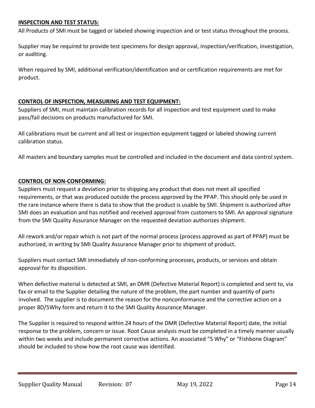#### **INSPECTION AND TEST STATUS:**

All Products of SMI must be tagged or labeled showing inspection and or test status throughout the process.

Supplier may be required to provide test specimens for design approval, inspection/verification, investigation, or auditing.

When required by SMI, additional verification/identification and or certification requirements are met for product.

#### **CONTROL OF INSPECTION, MEASURING AND TEST EQUIPMENT:**

Suppliers of SMI, must maintain calibration records for all inspection and test equipment used to make pass/fail decisions on products manufactured for SMI.

All calibrations must be current and all test or inspection equipment tagged or labeled showing current calibration status.

All masters and boundary samples must be controlled and included in the document and data control system.

#### **CONTROL OF NON-CONFORMING:**

Suppliers must request a deviation prior to shipping any product that does not meet all specified requirements, or that was produced outside the process approved by the PPAP. This should only be used in the rare instance where there is data to show that the product is usable by SMI. Shipment is authorized after SMI does an evaluation and has notified and received approval from customers to SMI. An approval signature from the SMI Quality Assurance Manager on the requested deviation authorizes shipment.

All rework and/or repair which is not part of the normal process (process approved as part of PPAP) must be authorized, in writing by SMI Quality Assurance Manager prior to shipment of product.

Suppliers must contact SMI immediately of non-conforming processes, products, or services and obtain approval for its disposition.

When defective material is detected at SMI, an DMR (Defective Material Report) is completed and sent to, via fax or email to the Supplier detailing the nature of the problem, the part number and quantity of parts involved. The supplier is to document the reason for the nonconformance and the corrective action on a proper 8D/5Why form and return it to the SMI Quality Assurance Manager.

The Supplier is required to respond within 24 hours of the DMR (Defective Material Report) date, the initial response to the problem, concern or issue. Root Cause analysis must be completed in a timely manner usually within two weeks and include permanent corrective actions. An associated "5 Why" or "Fishbone Diagram" should be included to show how the root cause was identified.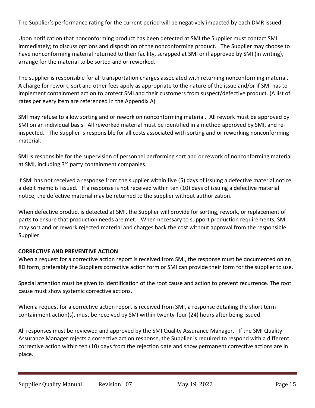The Supplier's performance rating for the current period will be negatively impacted by each DMR issued.

Upon notification that nonconforming product has been detected at SMI the Supplier must contact SMI immediately; to discuss options and disposition of the nonconforming product. The Supplier may choose to have nonconforming material returned to their facility, scrapped at SMI or if approved by SMI (in writing), arrange for the material to be sorted and or reworked.

The supplier is responsible for all transportation charges associated with returning nonconforming material. A charge for rework, sort and other fees apply as appropriate to the nature of the issue and/or if SMI has to implement containment action to protect SMI and their customers from suspect/defective product. (A list of rates per every item are referenced in the Appendix A)

SMI may refuse to allow sorting and or rework on nonconforming material. All rework must be approved by SMI on an individual basis. All reworked material must be identified in a method approved by SMI, and reinspected. The Supplier is responsible for all costs associated with sorting and or reworking nonconforming material.

SMI is responsible for the supervision of personnel performing sort and or rework of nonconforming material at SMI, including 3<sup>rd</sup> party containment companies.

If SMI has not received a response from the supplier within five (5) days of issuing a defective material notice, a debit memo is issued. If a response is not received within ten (10) days of issuing a defective material notice, the defective material may be returned to the supplier without authorization.

When defective product is detected at SMI, the Supplier will provide for sorting, rework, or replacement of parts to ensure that production needs are met. When necessary to support production requirements, SMI may sort and or rework rejected material and charges back the cost without approval from the responsible Supplier.

#### **CORRECTIVE AND PREVENTIVE ACTION**:

When a request for a corrective action report is received from SMI, the response must be documented on an 8D form; preferably the Suppliers corrective action form or SMI can provide their form for the supplier to use.

Special attention must be given to identification of the root cause and action to prevent recurrence. The root cause must show systemic corrective actions.

When a request for a corrective action report is received from SMI, a response detailing the short term containment action(s), must be received by SMI within twenty-four (24) hours after being issued.

All responses must be reviewed and approved by the SMI Quality Assurance Manager. If the SMI Quality Assurance Manager rejects a corrective action response, the Supplier is required to respond with a different corrective action within ten (10) days from the rejection date and show permanent corrective actions are in place.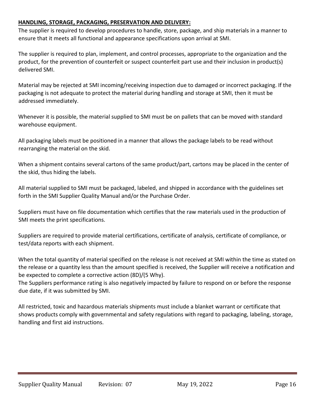#### **HANDLING, STORAGE, PACKAGING, PRESERVATION AND DELIVERY:**

The supplier is required to develop procedures to handle, store, package, and ship materials in a manner to ensure that it meets all functional and appearance specifications upon arrival at SMI.

The supplier is required to plan, implement, and control processes, appropriate to the organization and the product, for the prevention of counterfeit or suspect counterfeit part use and their inclusion in product(s) delivered SMI.

Material may be rejected at SMI incoming/receiving inspection due to damaged or incorrect packaging. If the packaging is not adequate to protect the material during handling and storage at SMI, then it must be addressed immediately.

Whenever it is possible, the material supplied to SMI must be on pallets that can be moved with standard warehouse equipment.

All packaging labels must be positioned in a manner that allows the package labels to be read without rearranging the material on the skid.

When a shipment contains several cartons of the same product/part, cartons may be placed in the center of the skid, thus hiding the labels.

All material supplied to SMI must be packaged, labeled, and shipped in accordance with the guidelines set forth in the SMI Supplier Quality Manual and/or the Purchase Order.

Suppliers must have on file documentation which certifies that the raw materials used in the production of SMI meets the print specifications.

Suppliers are required to provide material certifications, certificate of analysis, certificate of compliance, or test/data reports with each shipment.

When the total quantity of material specified on the release is not received at SMI within the time as stated on the release or a quantity less than the amount specified is received, the Supplier will receive a notification and be expected to complete a corrective action (8D)/(5 Why).

The Suppliers performance rating is also negatively impacted by failure to respond on or before the response due date, if it was submitted by SMI.

All restricted, toxic and hazardous materials shipments must include a blanket warrant or certificate that shows products comply with governmental and safety regulations with regard to packaging, labeling, storage, handling and first aid instructions.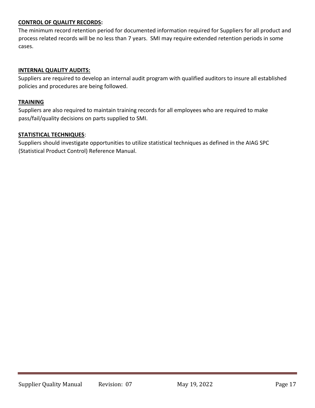#### **CONTROL OF QUALITY RECORDS:**

The minimum record retention period for documented information required for Suppliers for all product and process related records will be no less than 7 years. SMI may require extended retention periods in some cases.

#### **INTERNAL QUALITY AUDITS:**

Suppliers are required to develop an internal audit program with qualified auditors to insure all established policies and procedures are being followed.

#### **TRAINING**

Suppliers are also required to maintain training records for all employees who are required to make pass/fail/quality decisions on parts supplied to SMI.

#### **STATISTICAL TECHNIQUES**:

Suppliers should investigate opportunities to utilize statistical techniques as defined in the AIAG SPC (Statistical Product Control) Reference Manual.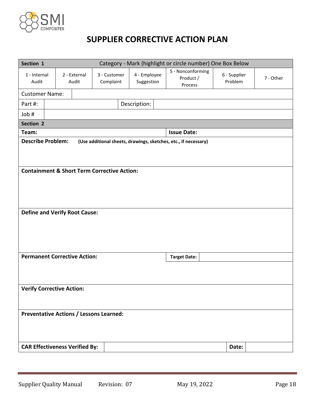

# **SUPPLIER CORRECTIVE ACTION PLAN**

| Category - Mark (highlight or circle number) One Box Below<br>Section 1                        |                                       |                       |                           |                            |                                           |                         |           |  |  |  |
|------------------------------------------------------------------------------------------------|---------------------------------------|-----------------------|---------------------------|----------------------------|-------------------------------------------|-------------------------|-----------|--|--|--|
| 1 - Internal<br>Audit                                                                          |                                       | 2 - External<br>Audit | 3 - Customer<br>Complaint | 4 - Employee<br>Suggestion | 5 - Nonconforming<br>Product /<br>Process | 6 - Supplier<br>Problem | 7 - Other |  |  |  |
|                                                                                                | <b>Customer Name:</b>                 |                       |                           |                            |                                           |                         |           |  |  |  |
| Part #:                                                                                        |                                       |                       |                           | Description:               |                                           |                         |           |  |  |  |
| Job #                                                                                          |                                       |                       |                           |                            |                                           |                         |           |  |  |  |
| Section 2                                                                                      |                                       |                       |                           |                            |                                           |                         |           |  |  |  |
| Team:                                                                                          |                                       |                       |                           |                            | <b>Issue Date:</b>                        |                         |           |  |  |  |
| <b>Describe Problem:</b><br>(Use additional sheets, drawings, sketches, etc., if necessary)    |                                       |                       |                           |                            |                                           |                         |           |  |  |  |
| <b>Containment &amp; Short Term Corrective Action:</b><br><b>Define and Verify Root Cause:</b> |                                       |                       |                           |                            |                                           |                         |           |  |  |  |
| <b>Permanent Corrective Action:</b><br><b>Target Date:</b>                                     |                                       |                       |                           |                            |                                           |                         |           |  |  |  |
| <b>Verify Corrective Action:</b>                                                               |                                       |                       |                           |                            |                                           |                         |           |  |  |  |
| <b>Preventative Actions / Lessons Learned:</b>                                                 |                                       |                       |                           |                            |                                           |                         |           |  |  |  |
|                                                                                                | <b>CAR Effectiveness Verified By:</b> |                       |                           |                            |                                           | Date:                   |           |  |  |  |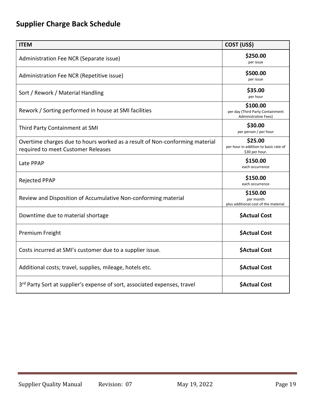# **Supplier Charge Back Schedule**

| <b>ITEM</b>                                                                                                       | COST (US\$)                                                                 |
|-------------------------------------------------------------------------------------------------------------------|-----------------------------------------------------------------------------|
| Administration Fee NCR (Separate issue)                                                                           | \$250.00<br>per issue                                                       |
| Administration Fee NCR (Repetitive issue)                                                                         | \$500.00<br>per issue                                                       |
| Sort / Rework / Material Handling                                                                                 | \$35.00<br>per hour                                                         |
| Rework / Sorting performed in house at SMI facilities                                                             | \$100.00<br>per day (Third Party Containment<br><b>Administrative Fees)</b> |
| Third Party Containment at SMI                                                                                    | \$30.00<br>per person / per hour                                            |
| Overtime charges due to hours worked as a result of Non-conforming material<br>required to meet Customer Releases | \$25.00<br>per hour in addition to basic rate of<br>\$30 per hour.          |
| Late PPAP                                                                                                         | \$150.00<br>each occurrence                                                 |
| <b>Rejected PPAP</b>                                                                                              | \$150.00<br>each occurrence                                                 |
| Review and Disposition of Accumulative Non-conforming material                                                    | \$150.00<br>per month<br>plus additional cost of the material.              |
| Downtime due to material shortage                                                                                 | <b>SActual Cost</b>                                                         |
| Premium Freight                                                                                                   | <b>\$Actual Cost</b>                                                        |
| Costs incurred at SMI's customer due to a supplier issue.                                                         | <b>\$Actual Cost</b>                                                        |
| Additional costs; travel, supplies, mileage, hotels etc.                                                          | \$Actual Cost                                                               |
| 3rd Party Sort at supplier's expense of sort, associated expenses, travel                                         | <b>\$Actual Cost</b>                                                        |